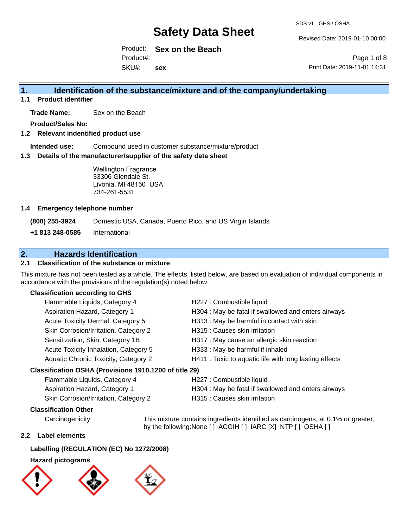Revised Date: 2019-01-10 00:00

Product: **Sex on the Beach** SKU#: Product#: **sex**

Page 1 of 8 Print Date: 2019-11-01 14:31

## **1. Identification of the substance/mixture and of the company/undertaking**

**1.1 Product identifier**

**Trade Name:** Sex on the Beach

**Product/Sales No:**

## **1.2 Relevant indentified product use**

**Intended use:** Compound used in customer substance/mixture/product

### **1.3 Details of the manufacturer/supplier of the safety data sheet**

Wellington Fragrance 33306 Glendale St. Livonia, MI 48150 USA 734-261-5531

### **1.4 Emergency telephone number**

**(800) 255-3924** Domestic USA, Canada, Puerto Rico, and US Virgin Islands

**+1 813 248-0585** International

## **2. Hazards Identification**

## **2.1 Classification of the substance or mixture**

This mixture has not been tested as a whole. The effects, listed below, are based on evaluation of individual components in accordance with the provisions of the regulation(s) noted below.

### **Classification according to GHS**

| Flammable Liquids, Category 4                       | H227 : Combustible liquid                              |
|-----------------------------------------------------|--------------------------------------------------------|
| Aspiration Hazard, Category 1                       | H304 : May be fatal if swallowed and enters airways    |
| Acute Toxicity Dermal, Category 5                   | H313: May be harmful in contact with skin              |
| Skin Corrosion/Irritation, Category 2               | H315 : Causes skin irritation                          |
| Sensitization, Skin, Category 1B                    | H317 : May cause an allergic skin reaction             |
| Acute Toxicity Inhalation, Category 5               | H333: May be harmful if inhaled                        |
| Aquatic Chronic Toxicity, Category 2                | H411 : Toxic to aquatic life with long lasting effects |
| ssification OSHA (Provisions 1910 1200 of title 29) |                                                        |

## **Classification OSHA (Provisions 1910.1200 of title 29)**

| Flammable Liquids, Category 4         | H227 : Combustible liquid                           |
|---------------------------------------|-----------------------------------------------------|
| <b>Aspiration Hazard, Category 1</b>  | H304 : May be fatal if swallowed and enters airways |
| Skin Corrosion/Irritation, Category 2 | H315 : Causes skin irritation                       |

## **Classification Other**

Carcinogenicity This mixture contains ingredients identified as carcinogens, at 0.1% or greater, by the following:None [ ] ACGIH [ ] IARC [X] NTP [ ] OSHA [ ]

#### **2.2 Label elements**

## **Labelling (REGULATION (EC) No 1272/2008)**

## **Hazard pictograms**

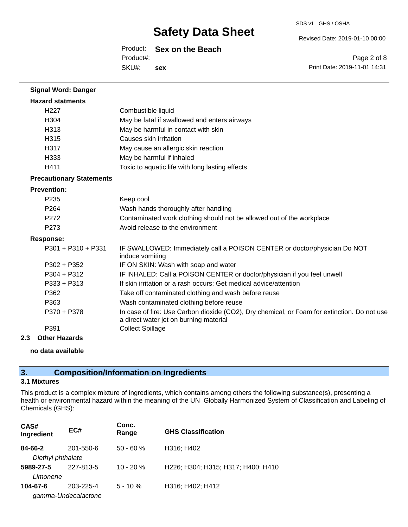#### Revised Date: 2019-01-10 00:00

Product: **Sex on the Beach**

SKU#: Product#: **sex**

Page 2 of 8 Print Date: 2019-11-01 14:31

| <b>Signal Word: Danger</b>      |                                                                                                                                       |
|---------------------------------|---------------------------------------------------------------------------------------------------------------------------------------|
| <b>Hazard statments</b>         |                                                                                                                                       |
| H <sub>22</sub> 7               | Combustible liquid                                                                                                                    |
| H <sub>304</sub>                | May be fatal if swallowed and enters airways                                                                                          |
| H313                            | May be harmful in contact with skin                                                                                                   |
| H315                            | Causes skin irritation                                                                                                                |
| H317                            | May cause an allergic skin reaction                                                                                                   |
| H333                            | May be harmful if inhaled                                                                                                             |
| H411                            | Toxic to aquatic life with long lasting effects                                                                                       |
| <b>Precautionary Statements</b> |                                                                                                                                       |
| <b>Prevention:</b>              |                                                                                                                                       |
| P235                            | Keep cool                                                                                                                             |
| P <sub>264</sub>                | Wash hands thoroughly after handling                                                                                                  |
| P272                            | Contaminated work clothing should not be allowed out of the workplace                                                                 |
| P273                            | Avoid release to the environment                                                                                                      |
| <b>Response:</b>                |                                                                                                                                       |
| $P301 + P310 + P331$            | IF SWALLOWED: Immediately call a POISON CENTER or doctor/physician Do NOT<br>induce vomiting                                          |
| $P302 + P352$                   | IF ON SKIN: Wash with soap and water                                                                                                  |
| $P304 + P312$                   | IF INHALED: Call a POISON CENTER or doctor/physician if you feel unwell                                                               |
| $P333 + P313$                   | If skin irritation or a rash occurs: Get medical advice/attention                                                                     |
| P362                            | Take off contaminated clothing and wash before reuse                                                                                  |
| P363                            | Wash contaminated clothing before reuse                                                                                               |
| P370 + P378                     | In case of fire: Use Carbon dioxide (CO2), Dry chemical, or Foam for extinction. Do not use<br>a direct water jet on burning material |
| P391                            | <b>Collect Spillage</b>                                                                                                               |

**2.3 Other Hazards**

### **no data available**

## **3. Composition/Information on Ingredients**

## **3.1 Mixtures**

This product is a complex mixture of ingredients, which contains among others the following substance(s), presenting a health or environmental hazard within the meaning of the UN Globally Harmonized System of Classification and Labeling of Chemicals (GHS):

| CAS#<br>Ingredient | EC#                 | Conc.<br>Range | <b>GHS Classification</b>          |
|--------------------|---------------------|----------------|------------------------------------|
| 84-66-2            | 201-550-6           | $50 - 60 %$    | H316; H402                         |
| Diethyl phthalate  |                     |                |                                    |
| 5989-27-5          | 227-813-5           | $10 - 20 %$    | H226; H304; H315; H317; H400; H410 |
| Limonene           |                     |                |                                    |
| 104-67-6           | 203-225-4           | $5 - 10 \%$    | H316; H402; H412                   |
|                    | gamma-Undecalactone |                |                                    |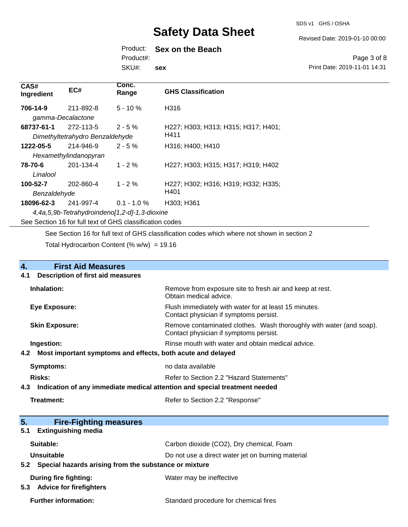#### Revised Date: 2019-01-10 00:00

## Product: **Sex on the Beach**

Product#:

SKU#: **sex**

#### Page 3 of 8 Print Date: 2019-11-01 14:31

| CAS#<br>Ingredient                                       | EC#                             | Conc.<br>Range | <b>GHS Classification</b>           |
|----------------------------------------------------------|---------------------------------|----------------|-------------------------------------|
| 706-14-9                                                 | 211-892-8                       | $5 - 10%$      | H316                                |
| gamma-Decalactone                                        |                                 |                |                                     |
| 68737-61-1                                               | 272-113-5                       | $2 - 5 \%$     | H227; H303; H313; H315; H317; H401; |
|                                                          | Dimethyltetrahydro Benzaldehyde |                | H411                                |
| 1222-05-5                                                | 214-946-9                       | $2 - 5%$       | H316; H400; H410                    |
|                                                          | Hexamethylindanopyran           |                |                                     |
| 78-70-6                                                  | 201-134-4                       | $1 - 2 \%$     | H227; H303; H315; H317; H319; H402  |
| Linalool                                                 |                                 |                |                                     |
| 100-52-7                                                 | 202-860-4                       | $1 - 2 \%$     | H227; H302; H316; H319; H332; H335; |
| Benzaldehyde                                             |                                 |                | H401                                |
| 18096-62-3                                               | 241-997-4                       | $0.1 - 1.0 \%$ | H303; H361                          |
| 4,4a,5,9b-Tetrahydroindeno[1,2-d]-1,3-dioxine            |                                 |                |                                     |
| See Section 16 for full text of GHS classification codes |                                 |                |                                     |

See Section 16 for full text of GHS classification codes which where not shown in section 2

Total Hydrocarbon Content (% w/w) = 19.16

| 4.  | <b>First Aid Measures</b>                                                  |                                                                                                               |
|-----|----------------------------------------------------------------------------|---------------------------------------------------------------------------------------------------------------|
| 4.1 | <b>Description of first aid measures</b>                                   |                                                                                                               |
|     | Inhalation:                                                                | Remove from exposure site to fresh air and keep at rest.<br>Obtain medical advice.                            |
|     | Eye Exposure:                                                              | Flush immediately with water for at least 15 minutes.<br>Contact physician if symptoms persist.               |
|     | <b>Skin Exposure:</b>                                                      | Remove contaminated clothes. Wash thoroughly with water (and soap).<br>Contact physician if symptoms persist. |
|     | Ingestion:                                                                 | Rinse mouth with water and obtain medical advice.                                                             |
| 4.2 | Most important symptoms and effects, both acute and delayed                |                                                                                                               |
|     | <b>Symptoms:</b>                                                           | no data available                                                                                             |
|     | <b>Risks:</b><br>Refer to Section 2.2 "Hazard Statements"                  |                                                                                                               |
| 4.3 | Indication of any immediate medical attention and special treatment needed |                                                                                                               |
|     | Treatment:                                                                 | Refer to Section 2.2 "Response"                                                                               |
| 5.  | <b>Fire-Fighting measures</b>                                              |                                                                                                               |
| 5.1 | <b>Extinguishing media</b>                                                 |                                                                                                               |
|     | Suitable:                                                                  | Carbon dioxide (CO2), Dry chemical, Foam                                                                      |
|     | <b>Unsuitable</b>                                                          | Do not use a direct water jet on burning material                                                             |
| 5.2 | Special hazards arising from the substance or mixture                      |                                                                                                               |
|     | <b>During fire fighting:</b>                                               | Water may be ineffective                                                                                      |

**5.3 Advice for firefighters**

Further information: **Further information:** Standard procedure for chemical fires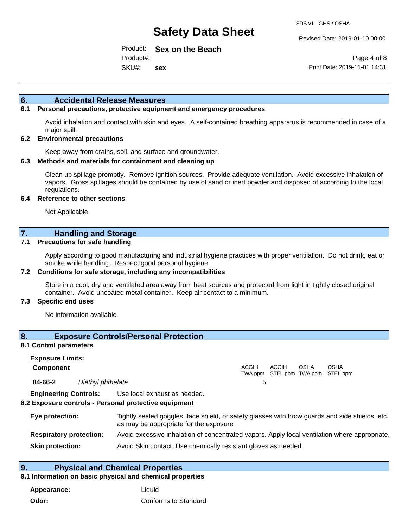Revised Date: 2019-01-10 00:00

Product: **Sex on the Beach** Product#:

SKU#: **sex**

Page 4 of 8 Print Date: 2019-11-01 14:31

## **6. Accidental Release Measures**

## **6.1 Personal precautions, protective equipment and emergency procedures**

Avoid inhalation and contact with skin and eyes. A self-contained breathing apparatus is recommended in case of a major spill.

#### **6.2 Environmental precautions**

Keep away from drains, soil, and surface and groundwater.

#### **6.3 Methods and materials for containment and cleaning up**

Clean up spillage promptly. Remove ignition sources. Provide adequate ventilation. Avoid excessive inhalation of vapors. Gross spillages should be contained by use of sand or inert powder and disposed of according to the local regulations.

#### **6.4 Reference to other sections**

Not Applicable

## **7. Handling and Storage**

### **7.1 Precautions for safe handling**

Apply according to good manufacturing and industrial hygiene practices with proper ventilation. Do not drink, eat or smoke while handling. Respect good personal hygiene.

#### **7.2 Conditions for safe storage, including any incompatibilities**

Store in a cool, dry and ventilated area away from heat sources and protected from light in tightly closed original container. Avoid uncoated metal container. Keep air contact to a minimum.

#### **7.3 Specific end uses**

No information available

## **8. Exposure Controls/Personal Protection**

#### **8.1 Control parameters**

| <b>Exposure Limits:</b> |                   |       |                                                   |             |             |
|-------------------------|-------------------|-------|---------------------------------------------------|-------------|-------------|
| <b>Component</b>        |                   | ACGIH | <b>ACGIH</b><br>TWA ppm STEL ppm TWA ppm STEL ppm | <b>OSHA</b> | <b>OSHA</b> |
| 84-66-2                 | Diethyl phthalate |       |                                                   |             |             |

**Engineering Controls:** Use local exhaust as needed.

### **8.2 Exposure controls - Personal protective equipment**

| Eye protection:                | Tightly sealed goggles, face shield, or safety glasses with brow guards and side shields, etc.<br>as may be appropriate for the exposure |
|--------------------------------|------------------------------------------------------------------------------------------------------------------------------------------|
| <b>Respiratory protection:</b> | Avoid excessive inhalation of concentrated vapors. Apply local ventilation where appropriate.                                            |
| <b>Skin protection:</b>        | Avoid Skin contact. Use chemically resistant gloves as needed.                                                                           |

## **9. Physical and Chemical Properties**

#### **9.1 Information on basic physical and chemical properties**

**Appearance:** Liquid **Odor:** Conforms to Standard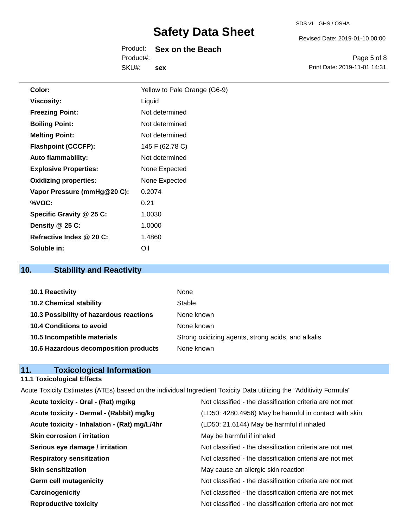#### SDS v1 GHS / OSHA

## **Safety Data Sheet**

|           | Product: Sex on the Beach |
|-----------|---------------------------|
| Product#: |                           |
| SKU#:     | sex                       |

Revised Date: 2019-01-10 00:00

Page 5 of 8 Print Date: 2019-11-01 14:31

| Color:                       | Yellow to Pale Orange (G6-9) |
|------------------------------|------------------------------|
| <b>Viscosity:</b>            | Liquid                       |
| <b>Freezing Point:</b>       | Not determined               |
| <b>Boiling Point:</b>        | Not determined               |
| <b>Melting Point:</b>        | Not determined               |
| <b>Flashpoint (CCCFP):</b>   | 145 F (62.78 C)              |
| <b>Auto flammability:</b>    | Not determined               |
| <b>Explosive Properties:</b> | None Expected                |
| <b>Oxidizing properties:</b> | None Expected                |
| Vapor Pressure (mmHg@20 C):  | 0.2074                       |
| %VOC:                        | 0.21                         |
| Specific Gravity @ 25 C:     | 1.0030                       |
| Density @ 25 C:              | 1.0000                       |
| Refractive Index @ 20 C:     | 1.4860                       |
| Soluble in:                  | Oil                          |

## **10. Stability and Reactivity**

| 10.1 Reactivity                         | None                                               |
|-----------------------------------------|----------------------------------------------------|
| <b>10.2 Chemical stability</b>          | Stable                                             |
| 10.3 Possibility of hazardous reactions | None known                                         |
| 10.4 Conditions to avoid                | None known                                         |
| 10.5 Incompatible materials             | Strong oxidizing agents, strong acids, and alkalis |
| 10.6 Hazardous decomposition products   | None known                                         |

## **11. Toxicological Information**

## **11.1 Toxicological Effects**

| Acute Toxicity Estimates (ATEs) based on the individual Ingredient Toxicity Data utilizing the "Additivity Formula" |                                                          |
|---------------------------------------------------------------------------------------------------------------------|----------------------------------------------------------|
| Acute toxicity - Oral - (Rat) mg/kg                                                                                 | Not classified - the classification criteria are not met |
| Acute toxicity - Dermal - (Rabbit) mg/kg                                                                            | (LD50: 4280.4956) May be harmful in contact with skin    |
| Acute toxicity - Inhalation - (Rat) mg/L/4hr                                                                        | (LD50: 21.6144) May be harmful if inhaled                |
| <b>Skin corrosion / irritation</b>                                                                                  | May be harmful if inhaled                                |
| Serious eye damage / irritation                                                                                     | Not classified - the classification criteria are not met |
| <b>Respiratory sensitization</b>                                                                                    | Not classified - the classification criteria are not met |
| <b>Skin sensitization</b>                                                                                           | May cause an allergic skin reaction                      |
| <b>Germ cell mutagenicity</b>                                                                                       | Not classified - the classification criteria are not met |
| Carcinogenicity                                                                                                     | Not classified - the classification criteria are not met |
| <b>Reproductive toxicity</b>                                                                                        | Not classified - the classification criteria are not met |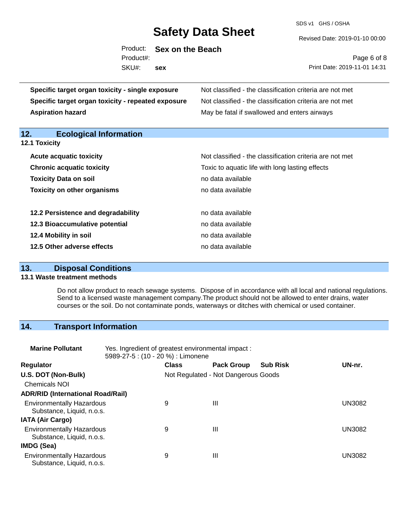SDS v1 GHS / OSHA

Revised Date: 2019-01-10 00:00

|           | Product: Sex on the Beach |
|-----------|---------------------------|
| Product#: |                           |
| SKU#:     | sex                       |

Page 6 of 8 Print Date: 2019-11-01 14:31

| Specific target organ toxicity - single exposure   | Not classified - the classification criteria are not met<br>Not classified - the classification criteria are not met<br>May be fatal if swallowed and enters airways |  |  |  |
|----------------------------------------------------|----------------------------------------------------------------------------------------------------------------------------------------------------------------------|--|--|--|
| Specific target organ toxicity - repeated exposure |                                                                                                                                                                      |  |  |  |
| <b>Aspiration hazard</b>                           |                                                                                                                                                                      |  |  |  |
| <b>Ecological Information</b><br>12.               |                                                                                                                                                                      |  |  |  |
| <b>12.1 Toxicity</b>                               |                                                                                                                                                                      |  |  |  |
| <b>Acute acquatic toxicity</b>                     | Not classified - the classification criteria are not met                                                                                                             |  |  |  |
| <b>Chronic acquatic toxicity</b>                   | Toxic to aquatic life with long lasting effects                                                                                                                      |  |  |  |
| <b>Toxicity Data on soil</b>                       | no data available                                                                                                                                                    |  |  |  |
| <b>Toxicity on other organisms</b>                 | no data available                                                                                                                                                    |  |  |  |
| 12.2 Persistence and degradability                 | no data available                                                                                                                                                    |  |  |  |
| 12.3 Bioaccumulative potential                     | no data available                                                                                                                                                    |  |  |  |
| 12.4 Mobility in soil                              | no data available                                                                                                                                                    |  |  |  |
| 12.5 Other adverse effects                         | no data available                                                                                                                                                    |  |  |  |

## **13. Disposal Conditions**

### **13.1 Waste treatment methods**

Do not allow product to reach sewage systems. Dispose of in accordance with all local and national regulations. Send to a licensed waste management company.The product should not be allowed to enter drains, water courses or the soil. Do not contaminate ponds, waterways or ditches with chemical or used container.

## **14. Transport Information**

| <b>Marine Pollutant</b>                                       | Yes. Ingredient of greatest environmental impact:<br>5989-27-5 : (10 - 20 %) : Limonene |                                     |                   |                 |               |
|---------------------------------------------------------------|-----------------------------------------------------------------------------------------|-------------------------------------|-------------------|-----------------|---------------|
| <b>Regulator</b>                                              |                                                                                         | <b>Class</b>                        | <b>Pack Group</b> | <b>Sub Risk</b> | UN-nr.        |
| U.S. DOT (Non-Bulk)                                           |                                                                                         | Not Regulated - Not Dangerous Goods |                   |                 |               |
| <b>Chemicals NOI</b>                                          |                                                                                         |                                     |                   |                 |               |
| <b>ADR/RID (International Road/Rail)</b>                      |                                                                                         |                                     |                   |                 |               |
| <b>Environmentally Hazardous</b><br>Substance, Liquid, n.o.s. |                                                                                         | 9                                   | Ш                 |                 | UN3082        |
| <b>IATA (Air Cargo)</b>                                       |                                                                                         |                                     |                   |                 |               |
| <b>Environmentally Hazardous</b><br>Substance, Liquid, n.o.s. |                                                                                         | 9                                   | Ш                 |                 | <b>UN3082</b> |
| IMDG (Sea)                                                    |                                                                                         |                                     |                   |                 |               |
| <b>Environmentally Hazardous</b><br>Substance, Liquid, n.o.s. |                                                                                         | 9                                   | $\mathbf{III}$    |                 | UN3082        |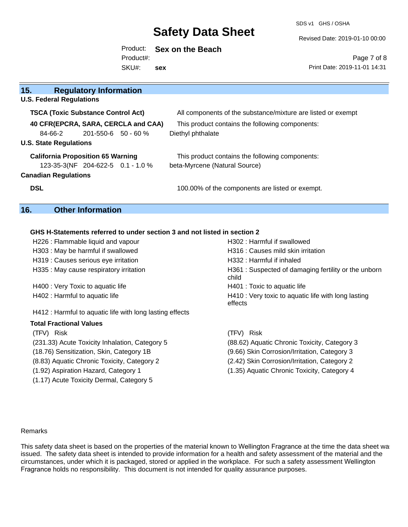SDS v1 GHS / OSHA

Revised Date: 2019-01-10 00:00

### Product: **Sex on the Beach** Product#:

SKU#: **sex**

Page 7 of 8 Print Date: 2019-11-01 14:31

| 15.<br><b>Regulatory Information</b>      |                                                              |
|-------------------------------------------|--------------------------------------------------------------|
| <b>U.S. Federal Regulations</b>           |                                                              |
| <b>TSCA (Toxic Substance Control Act)</b> | All components of the substance/mixture are listed or exempt |
| 40 CFR(EPCRA, SARA, CERCLA and CAA)       | This product contains the following components:              |
| 84-66-2<br>$201 - 550 - 6$ 50 - 60 %      | Diethyl phthalate                                            |
| <b>U.S. State Regulations</b>             |                                                              |
| <b>California Proposition 65 Warning</b>  | This product contains the following components:              |
| 123-35-3(NF 204-622-5 0.1 - 1.0 %         | beta-Myrcene (Natural Source)                                |
| <b>Canadian Regulations</b>               |                                                              |
| <b>DSL</b>                                | 100.00% of the components are listed or exempt.              |
|                                           |                                                              |

## **16. Other Information**

## **GHS H-Statements referred to under section 3 and not listed in section 2**

| H226 : Flammable liquid and vapour                       | H302 : Harmful if swallowed                                    |
|----------------------------------------------------------|----------------------------------------------------------------|
| H303 : May be harmful if swallowed                       | H316 : Causes mild skin irritation                             |
| H319 : Causes serious eye irritation                     | H332 : Harmful if inhaled                                      |
| H335 : May cause respiratory irritation                  | H361: Suspected of damaging fertility or the unborn<br>child   |
| H400 : Very Toxic to aquatic life                        | H401 : Toxic to aquatic life                                   |
| H402 : Harmful to aquatic life                           | H410 : Very toxic to aquatic life with long lasting<br>effects |
| H412 : Harmful to aquatic life with long lasting effects |                                                                |
| <b>Total Fractional Values</b>                           |                                                                |
| (TFV) Risk                                               | (TFV) Risk                                                     |
| (231.33) Acute Toxicity Inhalation, Category 5           | (88.62) Aquatic Chronic Toxicity, Category 3                   |
| (18.76) Sensitization, Skin, Category 1B                 | (9.66) Skin Corrosion/Irritation, Category 3                   |
| (8.83) Aquatic Chronic Toxicity, Category 2              | (2.42) Skin Corrosion/Irritation, Category 2                   |
| (1.92) Aspiration Hazard, Category 1                     | (1.35) Aquatic Chronic Toxicity, Category 4                    |

(1.17) Acute Toxicity Dermal, Category 5

#### Remarks

This safety data sheet is based on the properties of the material known to Wellington Fragrance at the time the data sheet was issued. The safety data sheet is intended to provide information for a health and safety assessment of the material and the circumstances, under which it is packaged, stored or applied in the workplace. For such a safety assessment Wellington Fragrance holds no responsibility. This document is not intended for quality assurance purposes.